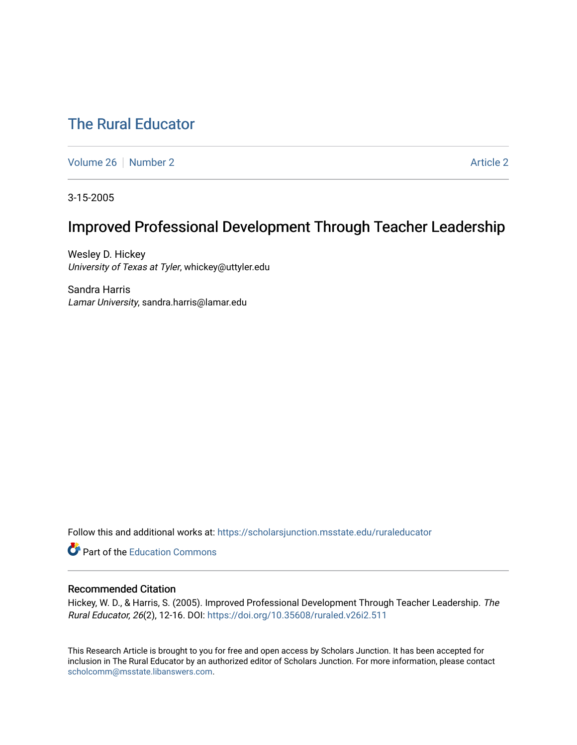# [The Rural Educator](https://scholarsjunction.msstate.edu/ruraleducator)

[Volume 26](https://scholarsjunction.msstate.edu/ruraleducator/vol26) [Number 2](https://scholarsjunction.msstate.edu/ruraleducator/vol26/iss2) [Article 2](https://scholarsjunction.msstate.edu/ruraleducator/vol26/iss2/2) Article 2 Article 2 Article 2 Article 2 Article 2 Article 2

3-15-2005

# Improved Professional Development Through Teacher Leadership

Wesley D. Hickey University of Texas at Tyler, whickey@uttyler.edu

Sandra Harris Lamar University, sandra.harris@lamar.edu

Follow this and additional works at: [https://scholarsjunction.msstate.edu/ruraleducator](https://scholarsjunction.msstate.edu/ruraleducator?utm_source=scholarsjunction.msstate.edu%2Fruraleducator%2Fvol26%2Fiss2%2F2&utm_medium=PDF&utm_campaign=PDFCoverPages)

Part of the [Education Commons](http://network.bepress.com/hgg/discipline/784?utm_source=scholarsjunction.msstate.edu%2Fruraleducator%2Fvol26%2Fiss2%2F2&utm_medium=PDF&utm_campaign=PDFCoverPages)

# Recommended Citation

Hickey, W. D., & Harris, S. (2005). Improved Professional Development Through Teacher Leadership. The Rural Educator, 26(2), 12-16. DOI:<https://doi.org/10.35608/ruraled.v26i2.511>

This Research Article is brought to you for free and open access by Scholars Junction. It has been accepted for inclusion in The Rural Educator by an authorized editor of Scholars Junction. For more information, please contact [scholcomm@msstate.libanswers.com.](mailto:scholcomm@msstate.libanswers.com)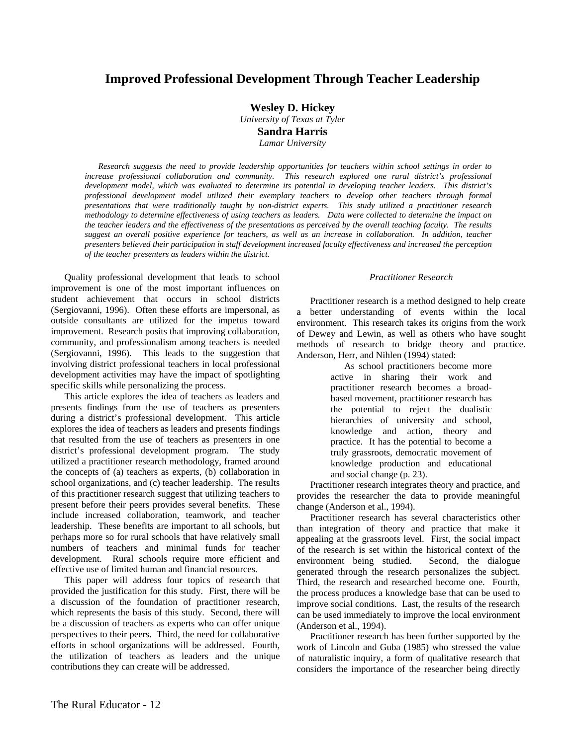# **Improved Professional Development Through Teacher Leadership**

**Wesley D. Hickey** 

*University of Texas at Tyler*  **Sandra Harris** 

*Lamar University* 

*Research suggests the need to provide leadership opportunities for teachers within school settings in order to*  increase professional collaboration and community. This research explored one rural district's professional *development model, which was evaluated to determine its potential in developing teacher leaders. This district's professional development model utilized their exemplary teachers to develop other teachers through formal presentations that were traditionally taught by non-district experts. This study utilized a practitioner research methodology to determine effectiveness of using teachers as leaders. Data were collected to determine the impact on the teacher leaders and the effectiveness of the presentations as perceived by the overall teaching faculty. The results suggest an overall positive experience for teachers, as well as an increase in collaboration. In addition, teacher presenters believed their participation in staff development increased faculty effectiveness and increased the perception of the teacher presenters as leaders within the district.* 

Quality professional development that leads to school improvement is one of the most important influences on student achievement that occurs in school districts (Sergiovanni, 1996). Often these efforts are impersonal, as outside consultants are utilized for the impetus toward improvement. Research posits that improving collaboration, community, and professionalism among teachers is needed (Sergiovanni, 1996). This leads to the suggestion that involving district professional teachers in local professional development activities may have the impact of spotlighting specific skills while personalizing the process.

This article explores the idea of teachers as leaders and presents findings from the use of teachers as presenters during a district's professional development. This article explores the idea of teachers as leaders and presents findings that resulted from the use of teachers as presenters in one district's professional development program. The study utilized a practitioner research methodology, framed around the concepts of (a) teachers as experts, (b) collaboration in school organizations, and (c) teacher leadership. The results of this practitioner research suggest that utilizing teachers to present before their peers provides several benefits. These include increased collaboration, teamwork, and teacher leadership. These benefits are important to all schools, but perhaps more so for rural schools that have relatively small numbers of teachers and minimal funds for teacher development. Rural schools require more efficient and effective use of limited human and financial resources.

This paper will address four topics of research that provided the justification for this study. First, there will be a discussion of the foundation of practitioner research, which represents the basis of this study. Second, there will be a discussion of teachers as experts who can offer unique perspectives to their peers. Third, the need for collaborative efforts in school organizations will be addressed. Fourth, the utilization of teachers as leaders and the unique contributions they can create will be addressed.

#### *Practitioner Research*

Practitioner research is a method designed to help create a better understanding of events within the local environment. This research takes its origins from the work of Dewey and Lewin, as well as others who have sought methods of research to bridge theory and practice. Anderson, Herr, and Nihlen (1994) stated:

> As school practitioners become more active in sharing their work and practitioner research becomes a broadbased movement, practitioner research has the potential to reject the dualistic hierarchies of university and school, knowledge and action, theory and practice. It has the potential to become a truly grassroots, democratic movement of knowledge production and educational and social change (p. 23).

Practitioner research integrates theory and practice, and provides the researcher the data to provide meaningful change (Anderson et al., 1994).

Practitioner research has several characteristics other than integration of theory and practice that make it appealing at the grassroots level. First, the social impact of the research is set within the historical context of the environment being studied. Second, the dialogue generated through the research personalizes the subject. Third, the research and researched become one. Fourth, the process produces a knowledge base that can be used to improve social conditions. Last, the results of the research can be used immediately to improve the local environment (Anderson et al., 1994).

Practitioner research has been further supported by the work of Lincoln and Guba (1985) who stressed the value of naturalistic inquiry, a form of qualitative research that considers the importance of the researcher being directly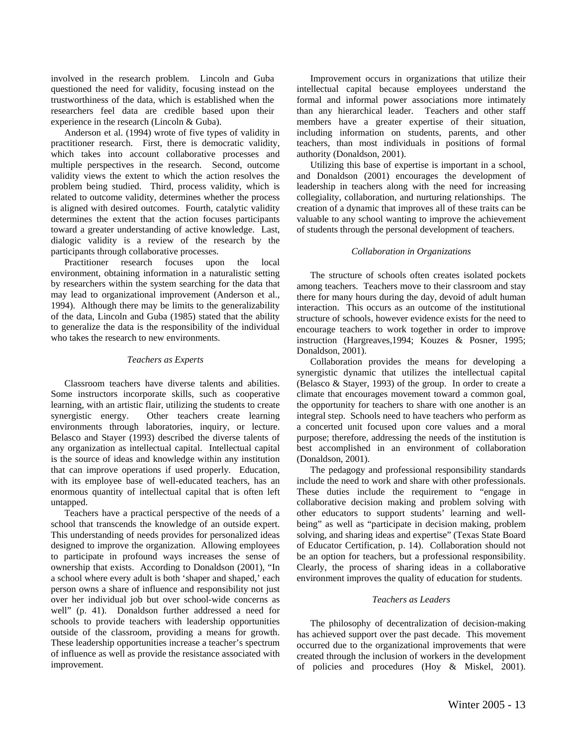involved in the research problem. Lincoln and Guba questioned the need for validity, focusing instead on the trustworthiness of the data, which is established when the researchers feel data are credible based upon their experience in the research (Lincoln & Guba).

Anderson et al. (1994) wrote of five types of validity in practitioner research. First, there is democratic validity, which takes into account collaborative processes and multiple perspectives in the research. Second, outcome validity views the extent to which the action resolves the problem being studied. Third, process validity, which is related to outcome validity, determines whether the process is aligned with desired outcomes. Fourth, catalytic validity determines the extent that the action focuses participants toward a greater understanding of active knowledge. Last, dialogic validity is a review of the research by the participants through collaborative processes.

Practitioner research focuses upon the local environment, obtaining information in a naturalistic setting by researchers within the system searching for the data that may lead to organizational improvement (Anderson et al., 1994). Although there may be limits to the generalizability of the data, Lincoln and Guba (1985) stated that the ability to generalize the data is the responsibility of the individual who takes the research to new environments.

# *Teachers as Experts*

Classroom teachers have diverse talents and abilities. Some instructors incorporate skills, such as cooperative learning, with an artistic flair, utilizing the students to create synergistic energy. Other teachers create learning environments through laboratories, inquiry, or lecture. Belasco and Stayer (1993) described the diverse talents of any organization as intellectual capital. Intellectual capital is the source of ideas and knowledge within any institution that can improve operations if used properly. Education, with its employee base of well-educated teachers, has an enormous quantity of intellectual capital that is often left untapped.

Teachers have a practical perspective of the needs of a school that transcends the knowledge of an outside expert. This understanding of needs provides for personalized ideas designed to improve the organization. Allowing employees to participate in profound ways increases the sense of ownership that exists. According to Donaldson (2001), "In a school where every adult is both 'shaper and shaped,' each person owns a share of influence and responsibility not just over her individual job but over school-wide concerns as well" (p. 41). Donaldson further addressed a need for schools to provide teachers with leadership opportunities outside of the classroom, providing a means for growth. These leadership opportunities increase a teacher's spectrum of influence as well as provide the resistance associated with improvement.

Improvement occurs in organizations that utilize their intellectual capital because employees understand the formal and informal power associations more intimately than any hierarchical leader. Teachers and other staff members have a greater expertise of their situation, including information on students, parents, and other teachers, than most individuals in positions of formal authority (Donaldson, 2001).

Utilizing this base of expertise is important in a school, and Donaldson (2001) encourages the development of leadership in teachers along with the need for increasing collegiality, collaboration, and nurturing relationships. The creation of a dynamic that improves all of these traits can be valuable to any school wanting to improve the achievement of students through the personal development of teachers.

# *Collaboration in Organizations*

The structure of schools often creates isolated pockets among teachers. Teachers move to their classroom and stay there for many hours during the day, devoid of adult human interaction. This occurs as an outcome of the institutional structure of schools, however evidence exists for the need to encourage teachers to work together in order to improve instruction (Hargreaves,1994; Kouzes & Posner, 1995; Donaldson, 2001).

Collaboration provides the means for developing a synergistic dynamic that utilizes the intellectual capital (Belasco & Stayer, 1993) of the group. In order to create a climate that encourages movement toward a common goal, the opportunity for teachers to share with one another is an integral step. Schools need to have teachers who perform as a concerted unit focused upon core values and a moral purpose; therefore, addressing the needs of the institution is best accomplished in an environment of collaboration (Donaldson, 2001).

The pedagogy and professional responsibility standards include the need to work and share with other professionals. These duties include the requirement to "engage in collaborative decision making and problem solving with other educators to support students' learning and wellbeing" as well as "participate in decision making, problem solving, and sharing ideas and expertise" (Texas State Board of Educator Certification, p. 14). Collaboration should not be an option for teachers, but a professional responsibility. Clearly, the process of sharing ideas in a collaborative environment improves the quality of education for students.

# *Teachers as Leaders*

The philosophy of decentralization of decision-making has achieved support over the past decade. This movement occurred due to the organizational improvements that were created through the inclusion of workers in the development of policies and procedures (Hoy & Miskel, 2001).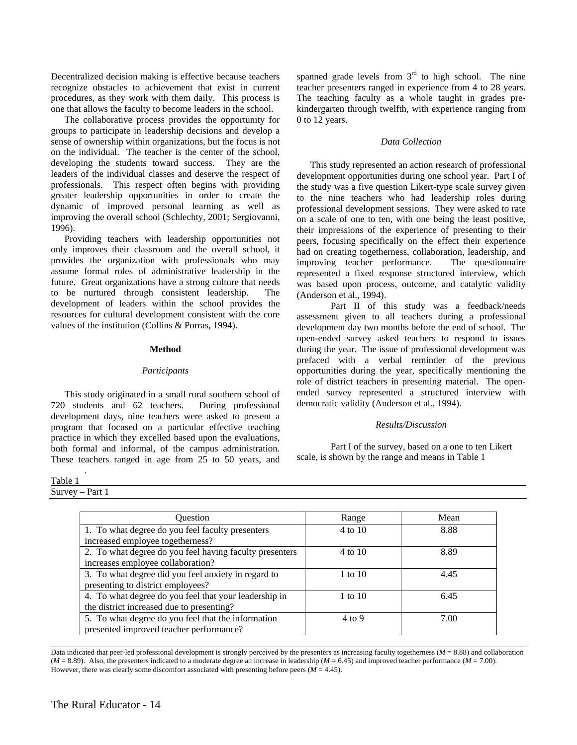Decentralized decision making is effective because teachers recognize obstacles to achievement that exist in current procedures, as they work with them daily. This process is one that allows the faculty to become leaders in the school.

The collaborative process provides the opportunity for groups to participate in leadership decisions and develop a sense of ownership within organizations, but the focus is not on the individual. The teacher is the center of the school, developing the students toward success. They are the leaders of the individual classes and deserve the respect of professionals. This respect often begins with providing greater leadership opportunities in order to create the dynamic of improved personal learning as well as improving the overall school (Schlechty, 2001; Sergiovanni, 1996).

Providing teachers with leadership opportunities not only improves their classroom and the overall school, it provides the organization with professionals who may assume formal roles of administrative leadership in the future. Great organizations have a strong culture that needs to be nurtured through consistent leadership. The development of leaders within the school provides the resources for cultural development consistent with the core values of the institution (Collins & Porras, 1994).

### **Method**

### *Participants*

This study originated in a small rural southern school of 720 students and 62 teachers. During professional development days, nine teachers were asked to present a program that focused on a particular effective teaching practice in which they excelled based upon the evaluations, both formal and informal, of the campus administration. These teachers ranged in age from 25 to 50 years, and

Table 1

Survey – Part 1

*.* 

spanned grade levels from  $3<sup>rd</sup>$  to high school. The nine teacher presenters ranged in experience from 4 to 28 years. The teaching faculty as a whole taught in grades prekindergarten through twelfth, with experience ranging from 0 to 12 years.

### *Data Collection*

This study represented an action research of professional development opportunities during one school year. Part I of the study was a five question Likert-type scale survey given to the nine teachers who had leadership roles during professional development sessions. They were asked to rate on a scale of one to ten, with one being the least positive, their impressions of the experience of presenting to their peers, focusing specifically on the effect their experience had on creating togetherness, collaboration, leadership, and improving teacher performance. The questionnaire represented a fixed response structured interview, which was based upon process, outcome, and catalytic validity (Anderson et al., 1994).

 Part II of this study was a feedback/needs assessment given to all teachers during a professional development day two months before the end of school. The open-ended survey asked teachers to respond to issues during the year. The issue of professional development was prefaced with a verbal reminder of the previous opportunities during the year, specifically mentioning the role of district teachers in presenting material. The openended survey represented a structured interview with democratic validity (Anderson et al., 1994).

# *Results/Discussion*

Part I of the survey, based on a one to ten Likert scale, is shown by the range and means in Table 1

| Question                                                                                           | Range             | Mean |
|----------------------------------------------------------------------------------------------------|-------------------|------|
| 1. To what degree do you feel faculty presenters<br>increased employee togetherness?               | 4 to 10           | 8.88 |
| 2. To what degree do you feel having faculty presenters<br>increases employee collaboration?       | 4 to 10           | 8.89 |
| 3. To what degree did you feel anxiety in regard to<br>presenting to district employees?           | 1 to $10$         | 4.45 |
| 4. To what degree do you feel that your leadership in<br>the district increased due to presenting? | $1$ to $10$       | 6.45 |
| 5. To what degree do you feel that the information<br>presented improved teacher performance?      | $4 \text{ to } 9$ | 7.00 |

 $\overline{a}$ Data indicated that peer-led professional development is strongly perceived by the presenters as increasing faculty togetherness ( $M = 8.88$ ) and collaboration  $(M = 8.89)$ . Also, the presenters indicated to a moderate degree an increase in leadership  $(M = 6.45)$  and improved teacher performance  $(M = 7.00)$ . However, there was clearly some discomfort associated with presenting before peers (*M* = 4.45).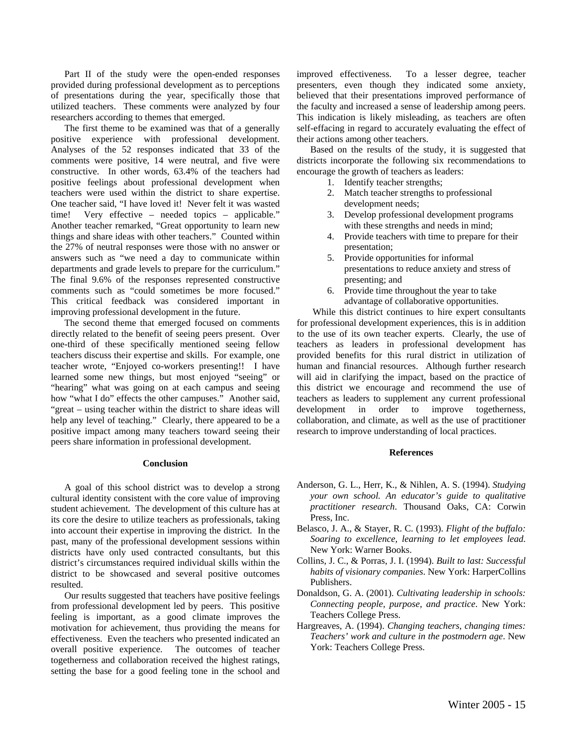Part II of the study were the open-ended responses provided during professional development as to perceptions of presentations during the year, specifically those that utilized teachers. These comments were analyzed by four researchers according to themes that emerged.

The first theme to be examined was that of a generally positive experience with professional development. Analyses of the 52 responses indicated that 33 of the comments were positive, 14 were neutral, and five were constructive. In other words, 63.4% of the teachers had positive feelings about professional development when teachers were used within the district to share expertise. One teacher said, "I have loved it! Never felt it was wasted time! Very effective – needed topics – applicable." Another teacher remarked, "Great opportunity to learn new things and share ideas with other teachers." Counted within the 27% of neutral responses were those with no answer or answers such as "we need a day to communicate within departments and grade levels to prepare for the curriculum." The final 9.6% of the responses represented constructive comments such as "could sometimes be more focused." This critical feedback was considered important in improving professional development in the future.

The second theme that emerged focused on comments directly related to the benefit of seeing peers present. Over one-third of these specifically mentioned seeing fellow teachers discuss their expertise and skills. For example, one teacher wrote, "Enjoyed co-workers presenting!! I have learned some new things, but most enjoyed "seeing" or "hearing" what was going on at each campus and seeing how "what I do" effects the other campuses." Another said, "great – using teacher within the district to share ideas will help any level of teaching." Clearly, there appeared to be a positive impact among many teachers toward seeing their peers share information in professional development.

#### **Conclusion**

A goal of this school district was to develop a strong cultural identity consistent with the core value of improving student achievement. The development of this culture has at its core the desire to utilize teachers as professionals, taking into account their expertise in improving the district. In the past, many of the professional development sessions within districts have only used contracted consultants, but this district's circumstances required individual skills within the district to be showcased and several positive outcomes resulted.

Our results suggested that teachers have positive feelings from professional development led by peers. This positive feeling is important, as a good climate improves the motivation for achievement, thus providing the means for effectiveness. Even the teachers who presented indicated an overall positive experience. The outcomes of teacher togetherness and collaboration received the highest ratings, setting the base for a good feeling tone in the school and

improved effectiveness. To a lesser degree, teacher presenters, even though they indicated some anxiety, believed that their presentations improved performance of the faculty and increased a sense of leadership among peers. This indication is likely misleading, as teachers are often self-effacing in regard to accurately evaluating the effect of their actions among other teachers.

Based on the results of the study, it is suggested that districts incorporate the following six recommendations to encourage the growth of teachers as leaders:

- 1. Identify teacher strengths;
- 2. Match teacher strengths to professional development needs;
- 3. Develop professional development programs with these strengths and needs in mind;
- 4. Provide teachers with time to prepare for their presentation;
- 5. Provide opportunities for informal presentations to reduce anxiety and stress of presenting; and
- 6. Provide time throughout the year to take advantage of collaborative opportunities.

 While this district continues to hire expert consultants for professional development experiences, this is in addition to the use of its own teacher experts. Clearly, the use of teachers as leaders in professional development has provided benefits for this rural district in utilization of human and financial resources. Although further research will aid in clarifying the impact, based on the practice of this district we encourage and recommend the use of teachers as leaders to supplement any current professional development in order to improve togetherness, collaboration, and climate, as well as the use of practitioner research to improve understanding of local practices.

#### **References**

- Anderson, G. L., Herr, K., & Nihlen, A. S. (1994). *Studying your own school. An educator's guide to qualitative practitioner research*. Thousand Oaks, CA: Corwin Press, Inc.
- Belasco, J. A., & Stayer, R. C. (1993). *Flight of the buffalo: Soaring to excellence, learning to let employees lead*. New York: Warner Books.
- Collins, J. C., & Porras, J. I. (1994). *Built to last: Successful habits of visionary companies*. New York: HarperCollins Publishers.
- Donaldson, G. A. (2001). *Cultivating leadership in schools: Connecting people, purpose, and practice*. New York: Teachers College Press.
- Hargreaves, A. (1994). *Changing teachers, changing times: Teachers' work and culture in the postmodern age*. New York: Teachers College Press.